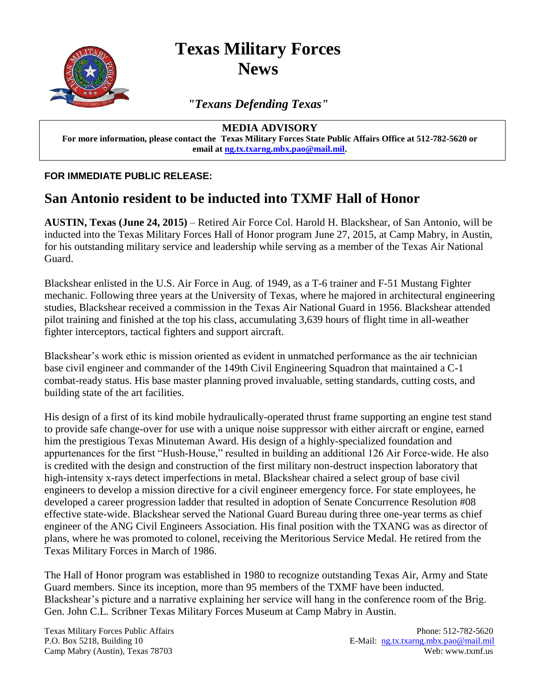

**Texas Military Forces News**

*"Texans Defending Texas"*

**MEDIA ADVISORY**

**For more information, please contact the Texas Military Forces State Public Affairs Office at 512-782-5620 or email at [ng.tx.txarng.mbx.pao@mail.mil.](mailto:ng.tx.txarng.mbx.pao@mail.mil)**

**FOR IMMEDIATE PUBLIC RELEASE:**

## **San Antonio resident to be inducted into TXMF Hall of Honor**

**AUSTIN, Texas (June 24, 2015)** – Retired Air Force Col. Harold H. Blackshear, of San Antonio, will be inducted into the Texas Military Forces Hall of Honor program June 27, 2015, at Camp Mabry, in Austin, for his outstanding military service and leadership while serving as a member of the Texas Air National Guard.

Blackshear enlisted in the U.S. Air Force in Aug. of 1949, as a T-6 trainer and F-51 Mustang Fighter mechanic. Following three years at the University of Texas, where he majored in architectural engineering studies, Blackshear received a commission in the Texas Air National Guard in 1956. Blackshear attended pilot training and finished at the top his class, accumulating 3,639 hours of flight time in all-weather fighter interceptors, tactical fighters and support aircraft.

Blackshear's work ethic is mission oriented as evident in unmatched performance as the air technician base civil engineer and commander of the 149th Civil Engineering Squadron that maintained a C-1 combat-ready status. His base master planning proved invaluable, setting standards, cutting costs, and building state of the art facilities.

His design of a first of its kind mobile hydraulically-operated thrust frame supporting an engine test stand to provide safe change-over for use with a unique noise suppressor with either aircraft or engine, earned him the prestigious Texas Minuteman Award. His design of a highly-specialized foundation and appurtenances for the first "Hush-House," resulted in building an additional 126 Air Force-wide. He also is credited with the design and construction of the first military non-destruct inspection laboratory that high-intensity x-rays detect imperfections in metal. Blackshear chaired a select group of base civil engineers to develop a mission directive for a civil engineer emergency force. For state employees, he developed a career progression ladder that resulted in adoption of Senate Concurrence Resolution #08 effective state-wide. Blackshear served the National Guard Bureau during three one-year terms as chief engineer of the ANG Civil Engineers Association. His final position with the TXANG was as director of plans, where he was promoted to colonel, receiving the Meritorious Service Medal. He retired from the Texas Military Forces in March of 1986.

The Hall of Honor program was established in 1980 to recognize outstanding Texas Air, Army and State Guard members. Since its inception, more than 95 members of the TXMF have been inducted. Blackshear's picture and a narrative explaining her service will hang in the conference room of the Brig. Gen. John C.L. Scribner Texas Military Forces Museum at Camp Mabry in Austin.